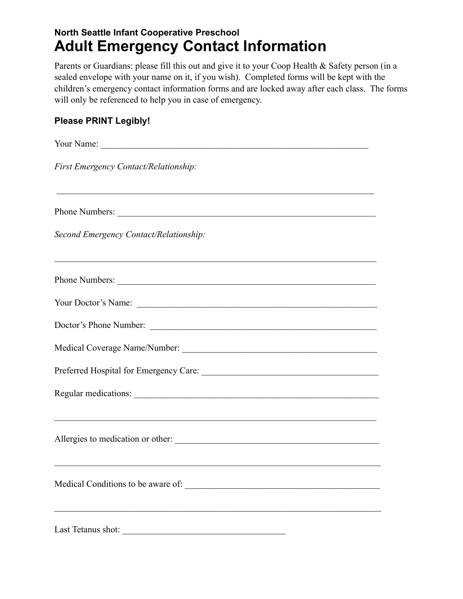## **North Seattle Infant Cooperative Preschool Adult Emergency Contact Information**

Parents or Guardians: please fill this out and give it to your Coop Health & Safety person (in a sealed envelope with your name on it, if you wish). Completed forms will be kept with the children's emergency contact information forms and are locked away after each class. The forms will only be referenced to help you in case of emergency.

## **Please PRINT Legibly!**

| First Emergency Contact/Relationship:                                                                                  |
|------------------------------------------------------------------------------------------------------------------------|
| ,我们也不能在这里的人,我们也不能在这里的人,我们也不能在这里的人,我们也不能在这里的人,我们也不能在这里的人,我们也不能在这里的人,我们也不能在这里的人,我们也<br>Phone Numbers:                    |
| Second Emergency Contact/Relationship:                                                                                 |
|                                                                                                                        |
| Your Doctor's Name:                                                                                                    |
| Doctor's Phone Number:                                                                                                 |
|                                                                                                                        |
|                                                                                                                        |
|                                                                                                                        |
| ,我们也不能在这里的时候,我们也不能在这里的时候,我们也不能在这里的时候,我们也不能会在这里的时候,我们也不能会在这里的时候,我们也不能会在这里的时候,我们也不能<br>Allergies to medication or other: |
|                                                                                                                        |
| Last Tetanus shot:<br><u> 1980 - Jan Barbara Barbara, manazarta </u>                                                   |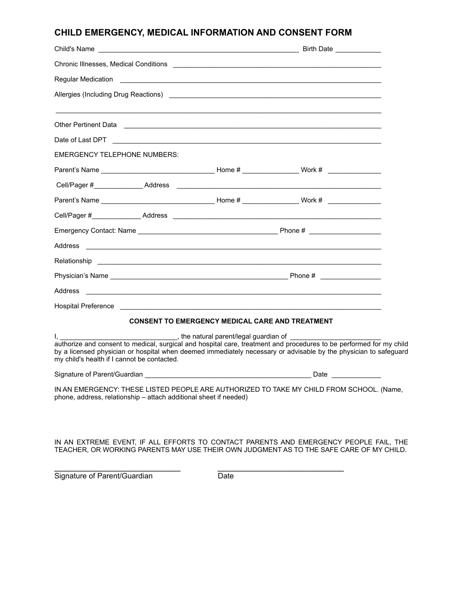## **CHILD EMERGENCY, MEDICAL INFORMATION AND CONSENT FORM**

| Chronic Illnesses, Medical Conditions                                                                                                                                                                                                                                                                                                                                               |                                                        |  |  |
|-------------------------------------------------------------------------------------------------------------------------------------------------------------------------------------------------------------------------------------------------------------------------------------------------------------------------------------------------------------------------------------|--------------------------------------------------------|--|--|
|                                                                                                                                                                                                                                                                                                                                                                                     |                                                        |  |  |
| Allergies (Including Drug Reactions)                                                                                                                                                                                                                                                                                                                                                |                                                        |  |  |
|                                                                                                                                                                                                                                                                                                                                                                                     |                                                        |  |  |
|                                                                                                                                                                                                                                                                                                                                                                                     |                                                        |  |  |
| EMERGENCY TELEPHONE NUMBERS:                                                                                                                                                                                                                                                                                                                                                        |                                                        |  |  |
|                                                                                                                                                                                                                                                                                                                                                                                     |                                                        |  |  |
|                                                                                                                                                                                                                                                                                                                                                                                     |                                                        |  |  |
|                                                                                                                                                                                                                                                                                                                                                                                     |                                                        |  |  |
|                                                                                                                                                                                                                                                                                                                                                                                     |                                                        |  |  |
|                                                                                                                                                                                                                                                                                                                                                                                     |                                                        |  |  |
| Address<br><u> 1989 - Johann Barnett, fransk politik (d. 1989)</u>                                                                                                                                                                                                                                                                                                                  |                                                        |  |  |
|                                                                                                                                                                                                                                                                                                                                                                                     |                                                        |  |  |
|                                                                                                                                                                                                                                                                                                                                                                                     |                                                        |  |  |
|                                                                                                                                                                                                                                                                                                                                                                                     |                                                        |  |  |
|                                                                                                                                                                                                                                                                                                                                                                                     |                                                        |  |  |
|                                                                                                                                                                                                                                                                                                                                                                                     | <b>CONSENT TO EMERGENCY MEDICAL CARE AND TREATMENT</b> |  |  |
| The natural parent/legal guardian of Letter Contract the natural parent/legal guardian of<br>authorize and consent to medical, surgical and hospital care, treatment and procedures to be performed for my child<br>by a licensed physician or hospital when deemed immediately necessary or advisable by the physician to safeguard<br>my child's health if I cannot be contacted. |                                                        |  |  |
|                                                                                                                                                                                                                                                                                                                                                                                     |                                                        |  |  |
| IN AN EMERGENCY: THESE LISTED PEOPLE ARE AUTHORIZED TO TAKE MY CHILD FROM SCHOOL. (Name,<br>phone, address, relationship - attach additional sheet if needed)                                                                                                                                                                                                                       |                                                        |  |  |

IN AN EXTREME EVENT, IF ALL EFFORTS TO CONTACT PARENTS AND EMERGENCY PEOPLE FAIL, THE TEACHER, OR WORKING PARENTS MAY USE THEIR OWN JUDGMENT AS TO THE SAFE CARE OF MY CHILD.

Signature of Parent/Guardian Date

\_\_\_\_\_\_\_\_\_\_\_\_\_\_\_\_\_\_\_\_\_\_\_\_\_ \_\_\_\_\_\_\_\_\_\_\_\_\_\_\_\_\_\_\_\_\_\_\_\_\_